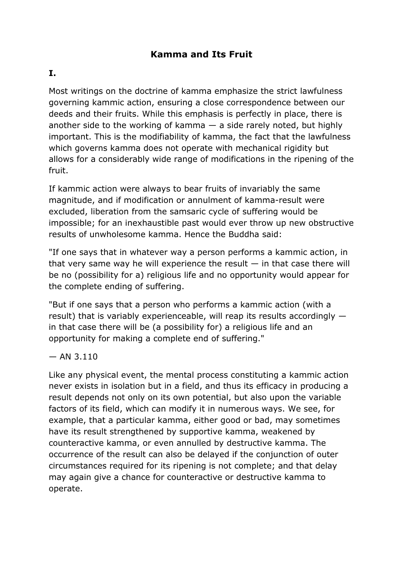# **Kamma and Its Fruit**

# **I.**

Most writings on the doctrine of kamma emphasize the strict lawfulness governing kammic action, ensuring a close correspondence between our deeds and their fruits. While this emphasis is perfectly in place, there is another side to the working of kamma  $-$  a side rarely noted, but highly important. This is the modifiability of kamma, the fact that the lawfulness which governs kamma does not operate with mechanical rigidity but allows for a considerably wide range of modifications in the ripening of the fruit.

If kammic action were always to bear fruits of invariably the same magnitude, and if modification or annulment of kamma-result were excluded, liberation from the samsaric cycle of suffering would be impossible; for an inexhaustible past would ever throw up new obstructive results of unwholesome kamma. Hence the Buddha said:

"If one says that in whatever way a person performs a kammic action, in that very same way he will experience the result  $-$  in that case there will be no (possibility for a) religious life and no opportunity would appear for the complete ending of suffering.

"But if one says that a person who performs a kammic action (with a result) that is variably experienceable, will reap its results accordingly in that case there will be (a possibility for) a religious life and an opportunity for making a complete end of suffering."

#### $-$  AN 3.110

Like any physical event, the mental process constituting a kammic action never exists in isolation but in a field, and thus its efficacy in producing a result depends not only on its own potential, but also upon the variable factors of its field, which can modify it in numerous ways. We see, for example, that a particular kamma, either good or bad, may sometimes have its result strengthened by supportive kamma, weakened by counteractive kamma, or even annulled by destructive kamma. The occurrence of the result can also be delayed if the conjunction of outer circumstances required for its ripening is not complete; and that delay may again give a chance for counteractive or destructive kamma to operate.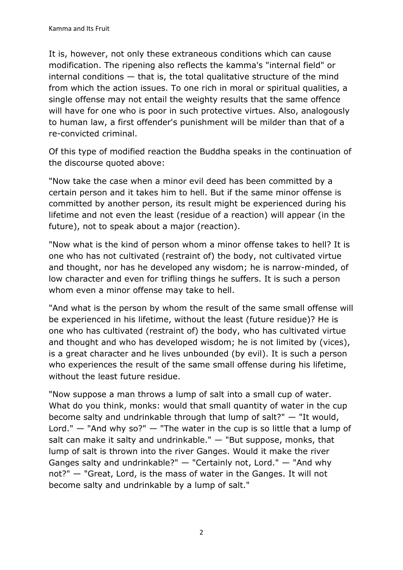It is, however, not only these extraneous conditions which can cause modification. The ripening also reflects the kamma's "internal field" or internal conditions — that is, the total qualitative structure of the mind from which the action issues. To one rich in moral or spiritual qualities, a single offense may not entail the weighty results that the same offence will have for one who is poor in such protective virtues. Also, analogously to human law, a first offender's punishment will be milder than that of a re-convicted criminal.

Of this type of modified reaction the Buddha speaks in the continuation of the discourse quoted above:

"Now take the case when a minor evil deed has been committed by a certain person and it takes him to hell. But if the same minor offense is committed by another person, its result might be experienced during his lifetime and not even the least (residue of a reaction) will appear (in the future), not to speak about a major (reaction).

"Now what is the kind of person whom a minor offense takes to hell? It is one who has not cultivated (restraint of) the body, not cultivated virtue and thought, nor has he developed any wisdom; he is narrow-minded, of low character and even for trifling things he suffers. It is such a person whom even a minor offense may take to hell.

"And what is the person by whom the result of the same small offense will be experienced in his lifetime, without the least (future residue)? He is one who has cultivated (restraint of) the body, who has cultivated virtue and thought and who has developed wisdom; he is not limited by (vices), is a great character and he lives unbounded (by evil). It is such a person who experiences the result of the same small offense during his lifetime, without the least future residue.

"Now suppose a man throws a lump of salt into a small cup of water. What do you think, monks: would that small quantity of water in the cup become salty and undrinkable through that lump of salt?" — "It would, Lord."  $-$  "And why so?"  $-$  "The water in the cup is so little that a lump of salt can make it salty and undrinkable."  $-$  "But suppose, monks, that lump of salt is thrown into the river Ganges. Would it make the river Ganges salty and undrinkable?" — "Certainly not, Lord." — "And why not?" — "Great, Lord, is the mass of water in the Ganges. It will not become salty and undrinkable by a lump of salt."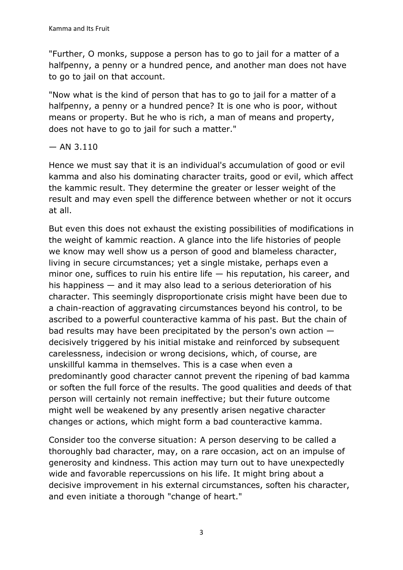"Further, O monks, suppose a person has to go to jail for a matter of a halfpenny, a penny or a hundred pence, and another man does not have to go to jail on that account.

"Now what is the kind of person that has to go to jail for a matter of a halfpenny, a penny or a hundred pence? It is one who is poor, without means or property. But he who is rich, a man of means and property, does not have to go to jail for such a matter."

 $-$  AN 3.110

Hence we must say that it is an individual's accumulation of good or evil kamma and also his dominating character traits, good or evil, which affect the kammic result. They determine the greater or lesser weight of the result and may even spell the difference between whether or not it occurs at all.

But even this does not exhaust the existing possibilities of modifications in the weight of kammic reaction. A glance into the life histories of people we know may well show us a person of good and blameless character, living in secure circumstances; yet a single mistake, perhaps even a minor one, suffices to ruin his entire life  $-$  his reputation, his career, and his happiness — and it may also lead to a serious deterioration of his character. This seemingly disproportionate crisis might have been due to a chain-reaction of aggravating circumstances beyond his control, to be ascribed to a powerful counteractive kamma of his past. But the chain of bad results may have been precipitated by the person's own action decisively triggered by his initial mistake and reinforced by subsequent carelessness, indecision or wrong decisions, which, of course, are unskillful kamma in themselves. This is a case when even a predominantly good character cannot prevent the ripening of bad kamma or soften the full force of the results. The good qualities and deeds of that person will certainly not remain ineffective; but their future outcome might well be weakened by any presently arisen negative character changes or actions, which might form a bad counteractive kamma.

Consider too the converse situation: A person deserving to be called a thoroughly bad character, may, on a rare occasion, act on an impulse of generosity and kindness. This action may turn out to have unexpectedly wide and favorable repercussions on his life. It might bring about a decisive improvement in his external circumstances, soften his character, and even initiate a thorough "change of heart."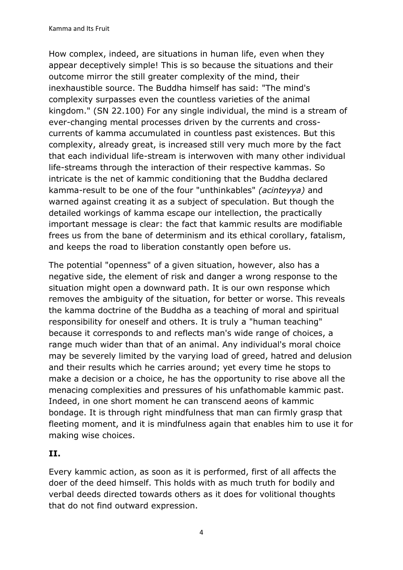How complex, indeed, are situations in human life, even when they appear deceptively simple! This is so because the situations and their outcome mirror the still greater complexity of the mind, their inexhaustible source. The Buddha himself has said: "The mind's complexity surpasses even the countless varieties of the animal kingdom." (SN 22.100) For any single individual, the mind is a stream of ever-changing mental processes driven by the currents and crosscurrents of kamma accumulated in countless past existences. But this complexity, already great, is increased still very much more by the fact that each individual life-stream is interwoven with many other individual life-streams through the interaction of their respective kammas. So intricate is the net of kammic conditioning that the Buddha declared kamma-result to be one of the four "unthinkables" *(acinteyya)* and warned against creating it as a subject of speculation. But though the detailed workings of kamma escape our intellection, the practically important message is clear: the fact that kammic results are modifiable frees us from the bane of determinism and its ethical corollary, fatalism, and keeps the road to liberation constantly open before us.

The potential "openness" of a given situation, however, also has a negative side, the element of risk and danger a wrong response to the situation might open a downward path. It is our own response which removes the ambiguity of the situation, for better or worse. This reveals the kamma doctrine of the Buddha as a teaching of moral and spiritual responsibility for oneself and others. It is truly a "human teaching" because it corresponds to and reflects man's wide range of choices, a range much wider than that of an animal. Any individual's moral choice may be severely limited by the varying load of greed, hatred and delusion and their results which he carries around; yet every time he stops to make a decision or a choice, he has the opportunity to rise above all the menacing complexities and pressures of his unfathomable kammic past. Indeed, in one short moment he can transcend aeons of kammic bondage. It is through right mindfulness that man can firmly grasp that fleeting moment, and it is mindfulness again that enables him to use it for making wise choices.

# **II.**

Every kammic action, as soon as it is performed, first of all affects the doer of the deed himself. This holds with as much truth for bodily and verbal deeds directed towards others as it does for volitional thoughts that do not find outward expression.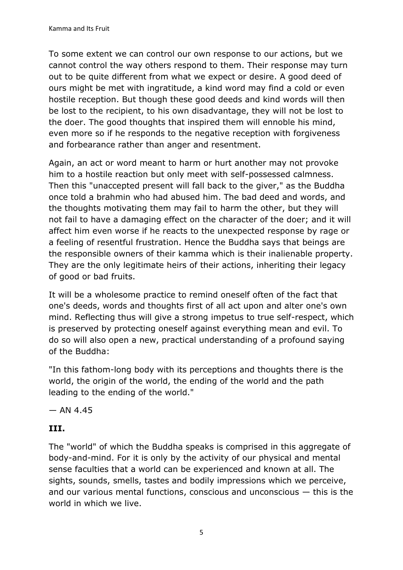To some extent we can control our own response to our actions, but we cannot control the way others respond to them. Their response may turn out to be quite different from what we expect or desire. A good deed of ours might be met with ingratitude, a kind word may find a cold or even hostile reception. But though these good deeds and kind words will then be lost to the recipient, to his own disadvantage, they will not be lost to the doer. The good thoughts that inspired them will ennoble his mind, even more so if he responds to the negative reception with forgiveness and forbearance rather than anger and resentment.

Again, an act or word meant to harm or hurt another may not provoke him to a hostile reaction but only meet with self-possessed calmness. Then this "unaccepted present will fall back to the giver," as the Buddha once told a brahmin who had abused him. The bad deed and words, and the thoughts motivating them may fail to harm the other, but they will not fail to have a damaging effect on the character of the doer; and it will affect him even worse if he reacts to the unexpected response by rage or a feeling of resentful frustration. Hence the Buddha says that beings are the responsible owners of their kamma which is their inalienable property. They are the only legitimate heirs of their actions, inheriting their legacy of good or bad fruits.

It will be a wholesome practice to remind oneself often of the fact that one's deeds, words and thoughts first of all act upon and alter one's own mind. Reflecting thus will give a strong impetus to true self-respect, which is preserved by protecting oneself against everything mean and evil. To do so will also open a new, practical understanding of a profound saying of the Buddha:

"In this fathom-long body with its perceptions and thoughts there is the world, the origin of the world, the ending of the world and the path leading to the ending of the world."

 $-$  AN 4.45

# **III.**

The "world" of which the Buddha speaks is comprised in this aggregate of body-and-mind. For it is only by the activity of our physical and mental sense faculties that a world can be experienced and known at all. The sights, sounds, smells, tastes and bodily impressions which we perceive, and our various mental functions, conscious and unconscious — this is the world in which we live.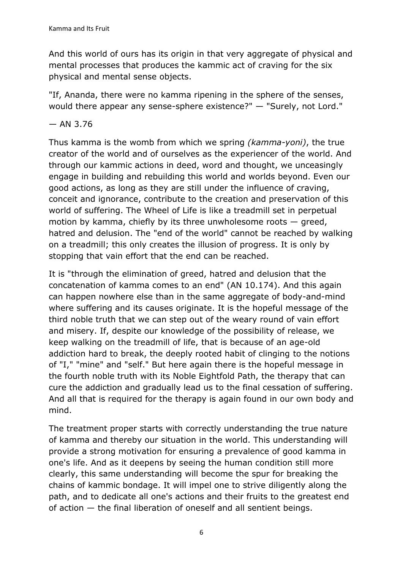And this world of ours has its origin in that very aggregate of physical and mental processes that produces the kammic act of craving for the six physical and mental sense objects.

"If, Ananda, there were no kamma ripening in the sphere of the senses, would there appear any sense-sphere existence?" — "Surely, not Lord."

#### $-$  AN 3.76

Thus kamma is the womb from which we spring *(kamma-yoni)*, the true creator of the world and of ourselves as the experiencer of the world. And through our kammic actions in deed, word and thought, we unceasingly engage in building and rebuilding this world and worlds beyond. Even our good actions, as long as they are still under the influence of craving, conceit and ignorance, contribute to the creation and preservation of this world of suffering. The Wheel of Life is like a treadmill set in perpetual motion by kamma, chiefly by its three unwholesome roots  $-$  greed, hatred and delusion. The "end of the world" cannot be reached by walking on a treadmill; this only creates the illusion of progress. It is only by stopping that vain effort that the end can be reached.

It is "through the elimination of greed, hatred and delusion that the concatenation of kamma comes to an end" (AN 10.174). And this again can happen nowhere else than in the same aggregate of body-and-mind where suffering and its causes originate. It is the hopeful message of the third noble truth that we can step out of the weary round of vain effort and misery. If, despite our knowledge of the possibility of release, we keep walking on the treadmill of life, that is because of an age-old addiction hard to break, the deeply rooted habit of clinging to the notions of "I," "mine" and "self." But here again there is the hopeful message in the fourth noble truth with its Noble Eightfold Path, the therapy that can cure the addiction and gradually lead us to the final cessation of suffering. And all that is required for the therapy is again found in our own body and mind.

The treatment proper starts with correctly understanding the true nature of kamma and thereby our situation in the world. This understanding will provide a strong motivation for ensuring a prevalence of good kamma in one's life. And as it deepens by seeing the human condition still more clearly, this same understanding will become the spur for breaking the chains of kammic bondage. It will impel one to strive diligently along the path, and to dedicate all one's actions and their fruits to the greatest end of action — the final liberation of oneself and all sentient beings.